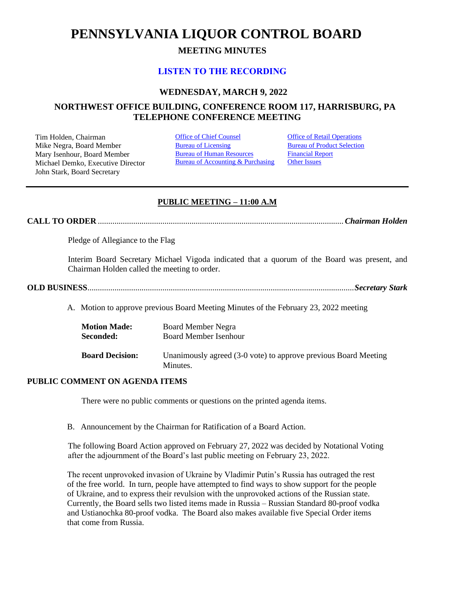# **PENNSYLVANIA LIQUOR CONTROL BOARD**

# **MEETING MINUTES**

# **[LISTEN TO THE RECORDING](https://youtu.be/fI3JyJYtCjM)**

# **WEDNESDAY, MARCH 9, 2022**

# **NORTHWEST OFFICE BUILDING, CONFERENCE ROOM 117, HARRISBURG, PA TELEPHONE CONFERENCE MEETING**

Tim Holden, Chairman **[Office of Chief Counsel](#page-1-0)** Office [of Retail Operations](#page-9-0)<br>
Mike Negra. Board Member **Bureau of Licensing** Bureau of Product Selection Mike Negra, Board Member Mary Isenhour, Board Member Michael Demko, Executive Director John Stark, Board Secretary

[Bureau of Human Resources](#page-6-0) Bureau of Accounting & Purchasing [Financial Report](#page-7-0) **[Other Issues](#page-11-0)** 

# **PUBLIC MEETING – 11:00 A.M**

**CALL TO ORDER** ......................................................................................................................*Chairman Holden*

Pledge of Allegiance to the Flag

Interim Board Secretary Michael Vigoda indicated that a quorum of the Board was present, and Chairman Holden called the meeting to order.

**OLD BUSINESS**................................................................................................................................*Secretary Stark*

A. Motion to approve previous Board Meeting Minutes of the February 23, 2022 meeting

| <b>Motion Made:</b>    | <b>Board Member Negra</b>                                                   |
|------------------------|-----------------------------------------------------------------------------|
| Seconded:              | Board Member Isenhour                                                       |
| <b>Board Decision:</b> | Unanimously agreed (3-0 vote) to approve previous Board Meeting<br>Minutes. |

## **PUBLIC COMMENT ON AGENDA ITEMS**

There were no public comments or questions on the printed agenda items.

B. Announcement by the Chairman for Ratification of a Board Action.

The following Board Action approved on February 27, 2022 was decided by Notational Voting after the adjournment of the Board's last public meeting on February 23, 2022.

The recent unprovoked invasion of Ukraine by Vladimir Putin's Russia has outraged the rest of the free world. In turn, people have attempted to find ways to show support for the people of Ukraine, and to express their revulsion with the unprovoked actions of the Russian state. Currently, the Board sells two listed items made in Russia – Russian Standard 80-proof vodka and Ustianochka 80-proof vodka. The Board also makes available five Special Order items that come from Russia.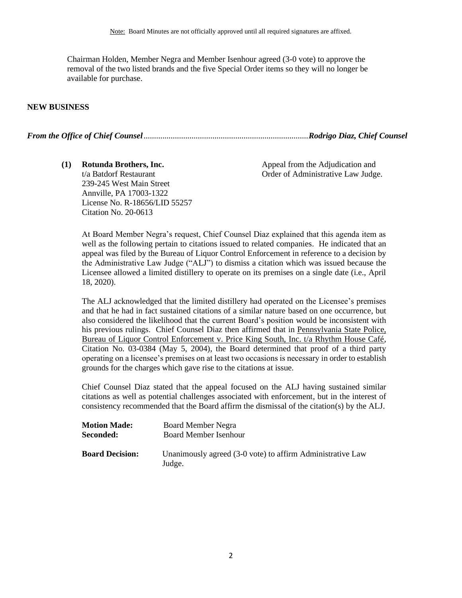Chairman Holden, Member Negra and Member Isenhour agreed (3-0 vote) to approve the removal of the two listed brands and the five Special Order items so they will no longer be available for purchase.

#### **NEW BUSINESS**

*From the Office of Chief Counsel*...............................................................................*Rodrigo Diaz, Chief Counsel*

<span id="page-1-0"></span>**(1) Rotunda Brothers, Inc.**  t/a Batdorf Restaurant 239-245 West Main Street Annville, PA 17003-1322 License No. R-18656/LID 55257 Citation No. 20-0613

Appeal from the Adjudication and Order of Administrative Law Judge.

At Board Member Negra's request, Chief Counsel Diaz explained that this agenda item as well as the following pertain to citations issued to related companies. He indicated that an appeal was filed by the Bureau of Liquor Control Enforcement in reference to a decision by the Administrative Law Judge ("ALJ") to dismiss a citation which was issued because the Licensee allowed a limited distillery to operate on its premises on a single date (i.e., April 18, 2020).

The ALJ acknowledged that the limited distillery had operated on the Licensee's premises and that he had in fact sustained citations of a similar nature based on one occurrence, but also considered the likelihood that the current Board's position would be inconsistent with his previous rulings. Chief Counsel Diaz then affirmed that in Pennsylvania State Police, Bureau of Liquor Control Enforcement v. Price King South, Inc. t/a Rhythm House Café, Citation No. 03-0384 (May 5, 2004), the Board determined that proof of a third party operating on a licensee's premises on at least two occasions is necessary in order to establish grounds for the charges which gave rise to the citations at issue.

Chief Counsel Diaz stated that the appeal focused on the ALJ having sustained similar citations as well as potential challenges associated with enforcement, but in the interest of consistency recommended that the Board affirm the dismissal of the citation(s) by the ALJ.

| <b>Motion Made:</b>    | <b>Board Member Negra</b>                                            |
|------------------------|----------------------------------------------------------------------|
| Seconded:              | <b>Board Member Isenhour</b>                                         |
| <b>Board Decision:</b> | Unanimously agreed (3-0 vote) to affirm Administrative Law<br>Judge. |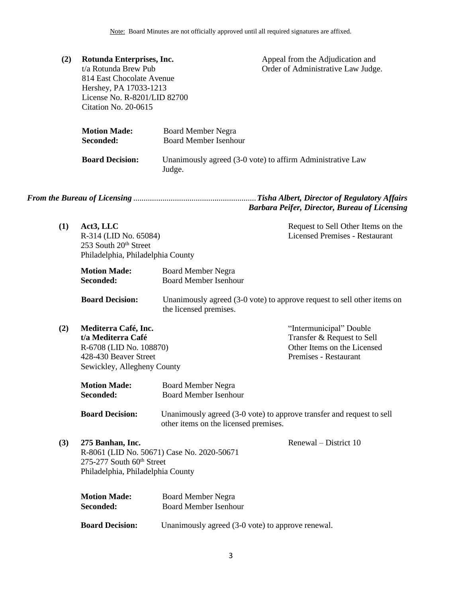| (2) | Rotunda Enterprises, Inc.<br>t/a Rotunda Brew Pub<br>814 East Chocolate Avenue<br>Hershey, PA 17033-1213 |                              | Appeal from the Adjudication and                           |  |
|-----|----------------------------------------------------------------------------------------------------------|------------------------------|------------------------------------------------------------|--|
|     |                                                                                                          |                              | Order of Administrative Law Judge.                         |  |
|     |                                                                                                          |                              |                                                            |  |
|     |                                                                                                          |                              |                                                            |  |
|     | License No. R-8201/LID 82700                                                                             |                              |                                                            |  |
|     | Citation No. 20-0615                                                                                     |                              |                                                            |  |
|     |                                                                                                          |                              |                                                            |  |
|     | <b>Motion Made:</b>                                                                                      | <b>Board Member Negra</b>    |                                                            |  |
|     | Seconded:                                                                                                | <b>Board Member Isenhour</b> |                                                            |  |
|     | <b>Board Decision:</b>                                                                                   |                              | Unanimously agreed (3-0 vote) to affirm Administrative Law |  |
|     |                                                                                                          | Judge.                       |                                                            |  |
|     |                                                                                                          |                              |                                                            |  |

*From the Bureau of Licensing* ...........................................................*Tisha Albert, Director of Regulatory Affairs Barbara Peifer, Director, Bureau of Licensing*

<span id="page-2-0"></span>

| (1) | Act3. LLC                         | Request to Sell Other Items on the |
|-----|-----------------------------------|------------------------------------|
|     | R-314 (LID No. 65084)             | Licensed Premises - Restaurant     |
|     | 253 South $20th$ Street           |                                    |
|     | Philadelphia, Philadelphia County |                                    |
|     |                                   |                                    |

| <b>Motion Made:</b> | Board Member Negra           |
|---------------------|------------------------------|
| <b>Seconded:</b>    | <b>Board Member Isenhour</b> |

**Board Decision:** Unanimously agreed (3-0 vote) to approve request to sell other items on the licensed premises.

**(2) Mediterra Café, Inc. t/a Mediterra Café** R-6708 (LID No. 108870) 428-430 Beaver Street Sewickley, Allegheny County "Intermunicipal" Double Transfer & Request to Sell Other Items on the Licensed Premises - Restaurant

| <b>Motion Made:</b> | <b>Board Member Negra</b>    |
|---------------------|------------------------------|
| Seconded:           | <b>Board Member Isenhour</b> |

- **Board Decision:** Unanimously agreed (3-0 vote) to approve transfer and request to sell other items on the licensed premises.
- **(3) 275 Banhan, Inc.** R-8061 (LID No. 50671) Case No. 2020-50671 275-277 South 60<sup>th</sup> Street Philadelphia, Philadelphia County Renewal – District 10

| <b>Motion Made:</b>    | <b>Board Member Negra</b>                         |
|------------------------|---------------------------------------------------|
| Seconded:              | <b>Board Member Isenhour</b>                      |
| <b>Board Decision:</b> | Unanimously agreed (3-0 vote) to approve renewal. |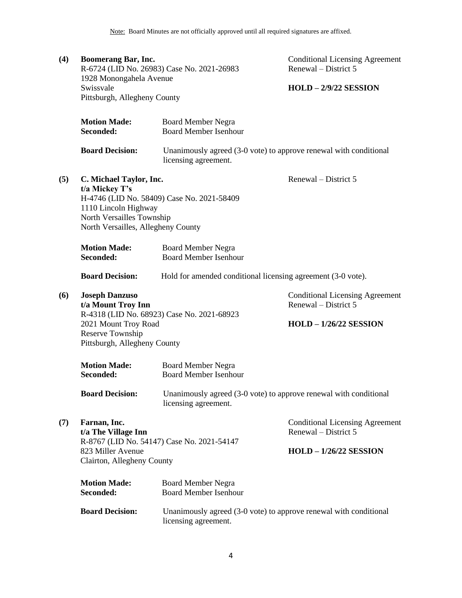| (4) | <b>Boomerang Bar, Inc.</b><br>1928 Monongahela Avenue                                                                                | R-6724 (LID No. 26983) Case No. 2021-26983                                                | <b>Conditional Licensing Agreement</b><br>Renewal – District 5                                  |
|-----|--------------------------------------------------------------------------------------------------------------------------------------|-------------------------------------------------------------------------------------------|-------------------------------------------------------------------------------------------------|
|     | Swissvale<br>Pittsburgh, Allegheny County                                                                                            |                                                                                           | $HOLD - 2/9/22$ SESSION                                                                         |
|     | <b>Motion Made:</b><br>Seconded:                                                                                                     | <b>Board Member Negra</b><br><b>Board Member Isenhour</b>                                 |                                                                                                 |
|     | <b>Board Decision:</b>                                                                                                               | Unanimously agreed (3-0 vote) to approve renewal with conditional<br>licensing agreement. |                                                                                                 |
| (5) | C. Michael Taylor, Inc.<br>t/a Mickey T's<br>1110 Lincoln Highway<br>North Versailles Township<br>North Versailles, Allegheny County | H-4746 (LID No. 58409) Case No. 2021-58409                                                | Renewal – District 5                                                                            |
|     | <b>Motion Made:</b><br>Seconded:                                                                                                     | <b>Board Member Negra</b><br><b>Board Member Isenhour</b>                                 |                                                                                                 |
|     | <b>Board Decision:</b>                                                                                                               | Hold for amended conditional licensing agreement (3-0 vote).                              |                                                                                                 |
| (6) | <b>Joseph Danzuso</b><br>t/a Mount Troy Inn<br>2021 Mount Troy Road<br>Reserve Township<br>Pittsburgh, Allegheny County              | R-4318 (LID No. 68923) Case No. 2021-68923                                                | <b>Conditional Licensing Agreement</b><br>Renewal – District 5<br>$HOLD - 1/26/22$ SESSION      |
|     | <b>Motion Made:</b><br>Seconded:                                                                                                     | <b>Board Member Negra</b><br><b>Board Member Isenhour</b>                                 |                                                                                                 |
|     | <b>Board Decision:</b>                                                                                                               | Unanimously agreed (3-0 vote) to approve renewal with conditional<br>licensing agreement. |                                                                                                 |
| (7) | Farnan, Inc.<br>t/a The Village Inn<br>823 Miller Avenue<br>Clairton, Allegheny County                                               | R-8767 (LID No. 54147) Case No. 2021-54147                                                | <b>Conditional Licensing Agreement</b><br>Renewal – District 5<br><b>HOLD - 1/26/22 SESSION</b> |
|     | <b>Motion Made:</b><br>Seconded:                                                                                                     | <b>Board Member Negra</b><br><b>Board Member Isenhour</b>                                 |                                                                                                 |
|     | <b>Board Decision:</b>                                                                                                               | Unanimously agreed (3-0 vote) to approve renewal with conditional<br>licensing agreement. |                                                                                                 |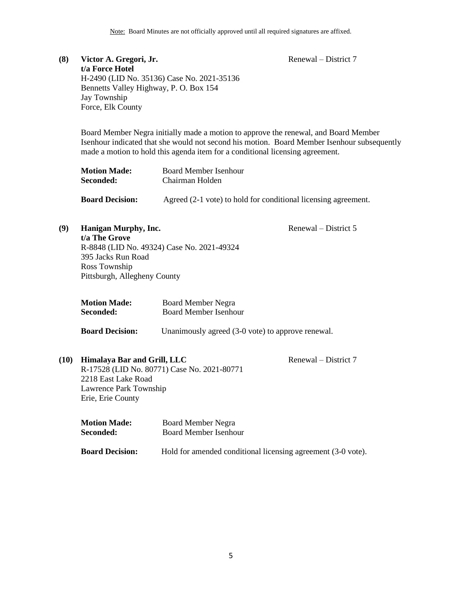Renewal – District 7

# **(8) Victor A. Gregori, Jr. t/a Force Hotel** H-2490 (LID No. 35136) Case No. 2021-35136 Bennetts Valley Highway, P. O. Box 154 Jay Township Force, Elk County

Board Member Negra initially made a motion to approve the renewal, and Board Member Isenhour indicated that she would not second his motion. Board Member Isenhour subsequently made a motion to hold this agenda item for a conditional licensing agreement.

| <b>Motion Made:</b>    | Board Member Isenhour                                     |
|------------------------|-----------------------------------------------------------|
| Seconded:              | Chairman Holden                                           |
| <b>Board Decision:</b> | Agreed (2-1 yote) to hold for conditional licensing agree |

**Board Decision:** Agreed (2-1 vote) to hold for conditional licensing agreement.

## Renewal – District 5

**(9) Hanigan Murphy, Inc. t/a The Grove** R-8848 (LID No. 49324) Case No. 2021-49324 395 Jacks Run Road Ross Township Pittsburgh, Allegheny County

| <b>Motion Made:</b> | <b>Board Member Negra</b>    |
|---------------------|------------------------------|
| Seconded:           | <b>Board Member Isenhour</b> |

**Board Decision:** Unanimously agreed (3-0 vote) to approve renewal.

# **(10) Himalaya Bar and Grill, LLC** R-17528 (LID No. 80771) Case No. 2021-80771 2218 East Lake Road Lawrence Park Township Erie, Erie County

Renewal – District 7

| <b>Motion Made:</b>    | Board Member Negra                                           |  |
|------------------------|--------------------------------------------------------------|--|
| Seconded:              | Board Member Isenhour                                        |  |
| <b>Board Decision:</b> | Hold for amended conditional licensing agreement (3-0 vote). |  |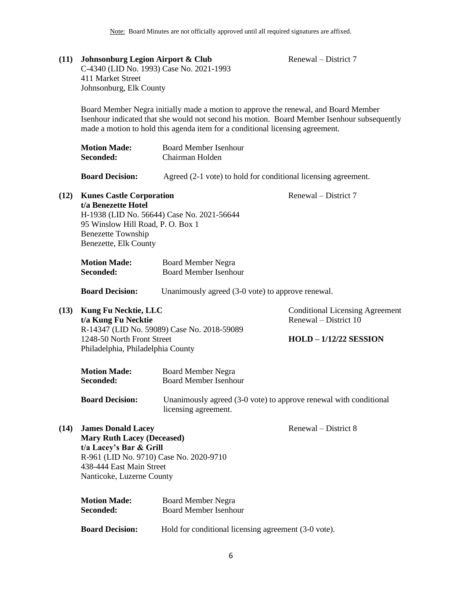Renewal – District 7

**(11) Johnsonburg Legion Airport & Club**

|      | C-4340 (LID No. 1993) Case No. 2021-1993<br>411 Market Street<br>Johnsonburg, Elk County                                                                                                                                                                            |                                                                                           |                                                                                                  |  |
|------|---------------------------------------------------------------------------------------------------------------------------------------------------------------------------------------------------------------------------------------------------------------------|-------------------------------------------------------------------------------------------|--------------------------------------------------------------------------------------------------|--|
|      | Board Member Negra initially made a motion to approve the renewal, and Board Member<br>Isenhour indicated that she would not second his motion. Board Member Isenhour subsequently<br>made a motion to hold this agenda item for a conditional licensing agreement. |                                                                                           |                                                                                                  |  |
|      | <b>Motion Made:</b><br>Seconded:                                                                                                                                                                                                                                    | <b>Board Member Isenhour</b><br>Chairman Holden                                           |                                                                                                  |  |
|      | <b>Board Decision:</b>                                                                                                                                                                                                                                              | Agreed (2-1 vote) to hold for conditional licensing agreement.                            |                                                                                                  |  |
| (12) | <b>Kunes Castle Corporation</b><br>t/a Benezette Hotel<br>95 Winslow Hill Road, P. O. Box 1<br><b>Benezette Township</b><br>Benezette, Elk County                                                                                                                   | H-1938 (LID No. 56644) Case No. 2021-56644                                                | Renewal – District 7                                                                             |  |
|      | <b>Motion Made:</b><br>Seconded:                                                                                                                                                                                                                                    | <b>Board Member Negra</b><br><b>Board Member Isenhour</b>                                 |                                                                                                  |  |
|      | <b>Board Decision:</b>                                                                                                                                                                                                                                              | Unanimously agreed (3-0 vote) to approve renewal.                                         |                                                                                                  |  |
| (13) | Kung Fu Necktie, LLC<br>t/a Kung Fu Necktie<br>1248-50 North Front Street<br>Philadelphia, Philadelphia County                                                                                                                                                      | R-14347 (LID No. 59089) Case No. 2018-59089                                               | <b>Conditional Licensing Agreement</b><br>Renewal – District 10<br><b>HOLD - 1/12/22 SESSION</b> |  |
|      | <b>Motion Made:</b><br>Seconded:                                                                                                                                                                                                                                    | <b>Board Member Negra</b><br><b>Board Member Isenhour</b>                                 |                                                                                                  |  |
|      | <b>Board Decision:</b>                                                                                                                                                                                                                                              | Unanimously agreed (3-0 vote) to approve renewal with conditional<br>licensing agreement. |                                                                                                  |  |
| (14) | <b>James Donald Lacey</b><br><b>Mary Ruth Lacey (Deceased)</b><br>t/a Lacey's Bar & Grill<br>R-961 (LID No. 9710) Case No. 2020-9710<br>438-444 East Main Street<br>Nanticoke, Luzerne County                                                                       |                                                                                           | Renewal – District 8                                                                             |  |

| Seconded:              | <b>Board Member Isenhour</b>                         |
|------------------------|------------------------------------------------------|
| <b>Board Decision:</b> | Hold for conditional licensing agreement (3-0 vote). |

**Motion Made:** Board Member Negra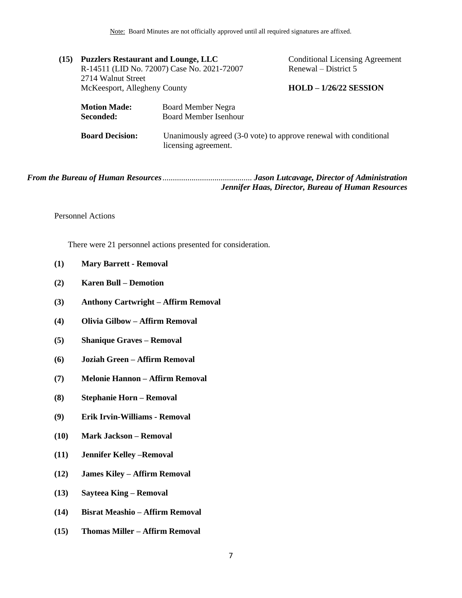Note: Board Minutes are not officially approved until all required signatures are affixed.

|                        |                                  | <b>Conditional Licensing Agreement</b>                                                                                                                                                 |
|------------------------|----------------------------------|----------------------------------------------------------------------------------------------------------------------------------------------------------------------------------------|
|                        |                                  | Renewal – District 5                                                                                                                                                                   |
| 2714 Walnut Street     |                                  |                                                                                                                                                                                        |
|                        |                                  | $HOLD - 1/26/22$ SESSION                                                                                                                                                               |
|                        |                                  |                                                                                                                                                                                        |
|                        |                                  |                                                                                                                                                                                        |
|                        |                                  |                                                                                                                                                                                        |
| <b>Board Decision:</b> |                                  | Unanimously agreed (3-0 vote) to approve renewal with conditional                                                                                                                      |
|                        | <b>Motion Made:</b><br>Seconded: | <b>Puzzlers Restaurant and Lounge, LLC</b><br>R-14511 (LID No. 72007) Case No. 2021-72007<br>McKeesport, Allegheny County<br><b>Board Member Negra</b><br><b>Board Member Isenhour</b> |

<span id="page-6-0"></span>*From the Bureau of Human Resources*........................................... *Jason Lutcavage, Director of Administration Jennifer Haas, Director, Bureau of Human Resources*

licensing agreement.

Personnel Actions

There were 21 personnel actions presented for consideration.

- **(1) Mary Barrett - Removal**
- **(2) Karen Bull – Demotion**
- **(3) Anthony Cartwright – Affirm Removal**
- **(4) Olivia Gilbow – Affirm Removal**
- **(5) Shanique Graves – Removal**
- **(6) Joziah Green – Affirm Removal**
- **(7) Melonie Hannon – Affirm Removal**
- **(8) Stephanie Horn – Removal**
- **(9) Erik Irvin-Williams - Removal**
- **(10) Mark Jackson – Removal**
- **(11) Jennifer Kelley –Removal**
- **(12) James Kiley – Affirm Removal**
- **(13) Sayteea King – Removal**
- **(14) Bisrat Meashio – Affirm Removal**
- **(15) Thomas Miller – Affirm Removal**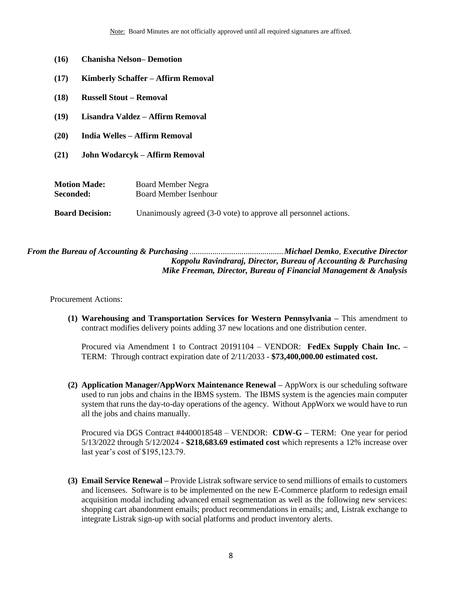- **(16) Chanisha Nelson– Demotion**
- **(17) Kimberly Schaffer – Affirm Removal**
- **(18) Russell Stout – Removal**
- **(19) Lisandra Valdez – Affirm Removal**
- **(20) India Welles – Affirm Removal**
- **(21) John Wodarcyk – Affirm Removal**

| <b>Motion Made:</b>    | Board Member Negra                                              |
|------------------------|-----------------------------------------------------------------|
| Seconded:              | Board Member Isenhour                                           |
| <b>Board Decision:</b> | Unanimously agreed (3-0 vote) to approve all personnel actions. |

<span id="page-7-0"></span>*From the Bureau of Accounting & Purchasing* .............................................*Michael Demko*, *Executive Director Koppolu Ravindraraj, Director, Bureau of Accounting & Purchasing Mike Freeman, Director, Bureau of Financial Management & Analysis* 

Procurement Actions:

**(1) Warehousing and Transportation Services for Western Pennsylvania –** This amendment to contract modifies delivery points adding 37 new locations and one distribution center.

Procured via Amendment 1 to Contract 20191104 – VENDOR: **FedEx Supply Chain Inc. –** TERM: Through contract expiration date of 2/11/2033 - **\$73,400,000.00 estimated cost.**

**(2) Application Manager/AppWorx Maintenance Renewal –** AppWorx is our scheduling software used to run jobs and chains in the IBMS system. The IBMS system is the agencies main computer system that runs the day-to-day operations of the agency. Without AppWorx we would have to run all the jobs and chains manually.

Procured via DGS Contract #4400018548 – VENDOR: **CDW-G –** TERM: One year for period 5/13/2022 through 5/12/2024 - **\$218,683.69 estimated cost** which represents a 12% increase over last year's cost of \$195,123.79.

**(3) Email Service Renewal –** Provide Listrak software service to send millions of emails to customers and licensees. Software is to be implemented on the new E-Commerce platform to redesign email acquisition modal including advanced email segmentation as well as the following new services: shopping cart abandonment emails; product recommendations in emails; and, Listrak exchange to integrate Listrak sign-up with social platforms and product inventory alerts.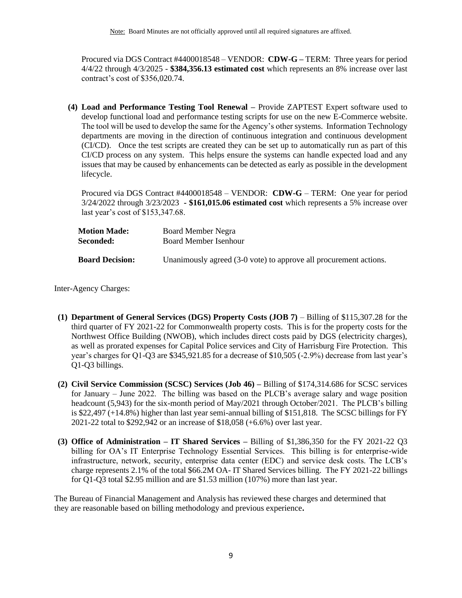Procured via DGS Contract #4400018548 – VENDOR: **CDW-G –** TERM: Three years for period 4/4/22 through 4/3/2025 - **\$384,356.13 estimated cost** which represents an 8% increase over last contract's cost of \$356,020.74.

**(4) Load and Performance Testing Tool Renewal –** Provide ZAPTEST Expert software used to develop functional load and performance testing scripts for use on the new E-Commerce website. The tool will be used to develop the same for the Agency's other systems. Information Technology departments are moving in the direction of continuous integration and continuous development (CI/CD). Once the test scripts are created they can be set up to automatically run as part of this CI/CD process on any system. This helps ensure the systems can handle expected load and any issues that may be caused by enhancements can be detected as early as possible in the development lifecycle.

Procured via DGS Contract #4400018548 – VENDOR: **CDW-G** – TERM: One year for period 3/24/2022 through 3/23/2023 **- \$161,015.06 estimated cost** which represents a 5% increase over last year's cost of \$153,347.68.

| <b>Motion Made:</b>    | <b>Board Member Negra</b>                                         |
|------------------------|-------------------------------------------------------------------|
| Seconded:              | Board Member Isenhour                                             |
| <b>Board Decision:</b> | Unanimously agreed (3-0 vote) to approve all procurement actions. |

Inter-Agency Charges:

- **(1) Department of General Services (DGS) Property Costs (JOB 7)** Billing of \$115,307.28 for the third quarter of FY 2021-22 for Commonwealth property costs. This is for the property costs for the Northwest Office Building (NWOB), which includes direct costs paid by DGS (electricity charges), as well as prorated expenses for Capital Police services and City of Harrisburg Fire Protection. This year's charges for Q1-Q3 are \$345,921.85 for a decrease of \$10,505 (-2.9%) decrease from last year's Q1-Q3 billings.
- **(2) Civil Service Commission (SCSC) Services (Job 46) –** Billing of \$174,314.686 for SCSC services for January – June 2022. The billing was based on the PLCB's average salary and wage position headcount (5,943) for the six-month period of May/2021 through October/2021. The PLCB's billing is \$22,497 (+14.8%) higher than last year semi-annual billing of \$151,818. The SCSC billings for FY 2021-22 total to \$292,942 or an increase of \$18,058 (+6.6%) over last year.
- **(3) Office of Administration – IT Shared Services –** Billing of \$1,386,350 for the FY 2021-22 Q3 billing for OA's IT Enterprise Technology Essential Services. This billing is for enterprise-wide infrastructure, network, security, enterprise data center (EDC) and service desk costs. The LCB's charge represents 2.1% of the total \$66.2M OA- IT Shared Services billing. The FY 2021-22 billings for Q1-Q3 total \$2.95 million and are \$1.53 million (107%) more than last year.

The Bureau of Financial Management and Analysis has reviewed these charges and determined that they are reasonable based on billing methodology and previous experience**.**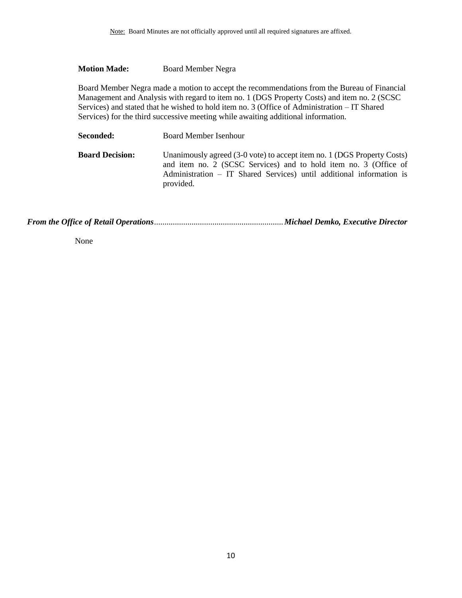## **Motion Made:** Board Member Negra

Board Member Negra made a motion to accept the recommendations from the Bureau of Financial Management and Analysis with regard to item no. 1 (DGS Property Costs) and item no. 2 (SCSC Services) and stated that he wished to hold item no. 3 (Office of Administration – IT Shared Services) for the third successive meeting while awaiting additional information.

| <b>Seconded:</b>       | Board Member Isenhour                                                                                                                                                                                                            |
|------------------------|----------------------------------------------------------------------------------------------------------------------------------------------------------------------------------------------------------------------------------|
| <b>Board Decision:</b> | Unanimously agreed (3-0 vote) to accept item no. 1 (DGS Property Costs)<br>and item no. 2 (SCSC Services) and to hold item no. 3 (Office of<br>Administration – IT Shared Services) until additional information is<br>provided. |

<span id="page-9-0"></span>*From the Office of Retail Operations*..............................................................*Michael Demko, Executive Director*

None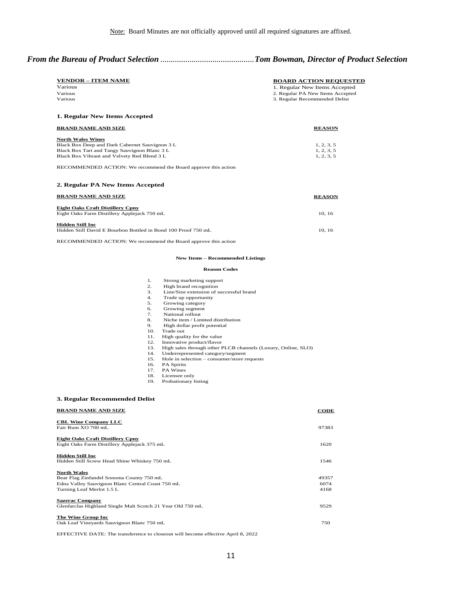### *From the Bureau of Product Selection* .............................................*Tom Bowman, Director of Product Selection*

| <b>VENDOR – ITEM NAME</b> | <b>BOARD ACTION REOUESTED</b>    |
|---------------------------|----------------------------------|
| Various                   | 1. Regular New Items Accepted    |
| Various                   | 2. Regular PA New Items Accepted |
| Various                   | 3. Regular Recommended Delist    |
|                           |                                  |

#### **1. Regular New Items Accepted**

| <b>BRAND NAME AND SIZE</b>                     | <b>REASON</b> |
|------------------------------------------------|---------------|
| <b>North Wales Wines</b>                       |               |
| Black Box Deep and Dark Cabernet Sauvignon 3 L | 1, 2, 3, 5    |
| Black Box Tart and Tangy Sauvignon Blanc 3 L   | 1, 2, 3, 5    |
| Black Box Vibrant and Velvety Red Blend 3 L    | 1, 2, 3, 5    |
|                                                |               |

RECOMMENDED ACTION: We recommend the Board approve this action

#### **2. Regular PA New Items Accepted**

| <b>BRAND NAME AND SIZE</b>                                                               | <b>REASON</b> |
|------------------------------------------------------------------------------------------|---------------|
| <b>Eight Oaks Craft Distillery Cpny</b><br>Eight Oaks Farm Distillery Applejack 750 mL   | 10.16         |
| <b>Hidden Still Inc</b><br>Hidden Still David E Bourbon Bottled in Bond 100 Proof 750 mL | 10.16         |

RECOMMENDED ACTION: We recommend the Board approve this action

#### **New Items – Recommended Listings**

#### **Reason Codes**

- 
- High brand recognition
- 1. Strong marketing support<br>
2. High brand recognition<br>
3. Line/Size extension of such<br>
4. Trade up opportunity Line/Size extension of successful brand
- 4. Trade up opportunity<br>5. Growing category<br>6. Growing segment Growing category
- 
- 6. Growing segment<br>7. National rollout
- 7. National rollout<br>8. Niche item / Lin  $\rm{Niche}$ item / Limited distribution
- 9. High dollar profit potential 10. Trade out
- 
- 11. High quality for the value
- 12. Innovative product/flavor<br>13. High sales through other I
- 13. High sales through other PLCB channels (Luxury, Online, SLO)
- 14. Underrepresented category/segment 15. Hole in selection consumer/store requests
- 
- 16. PA Spirits
- 17. PA Wines
- 18. Licensee only 19. Probationary listing

#### **3. Regular Recommended Delist**

| <b>BRAND NAME AND SIZE</b>                                                             | <b>CODE</b> |
|----------------------------------------------------------------------------------------|-------------|
| <b>CBL Wine Company LLC</b><br>Fair Rum XO 700 mL                                      | 97383       |
| <b>Eight Oaks Craft Distillery Cpny</b><br>Eight Oaks Farm Distillery Applejack 375 mL | 1620        |
| Hidden Still Inc<br>Hidden Still Screw Head Shine Whiskey 750 mL                       | 1546        |
| <b>North Wales</b>                                                                     |             |
| Bear Flag Zinfandel Sonoma County 750 mL                                               | 49357       |
| Edna Valley Sauvignon Blanc Central Coast 750 mL                                       | 6074        |
| Turning Leaf Merlot 1.5 L                                                              | 4168        |
| <b>Sazerac Company</b><br>Glenfarclas Highland Single Malt Scotch 21 Year Old 750 mL   | 9529        |
| The Wine Group Inc<br>Oak Leaf Vineyards Sauvignon Blanc 750 mL                        | 750         |
|                                                                                        |             |

EFFECTIVE DATE: The transference to closeout will become effective April 8, 2022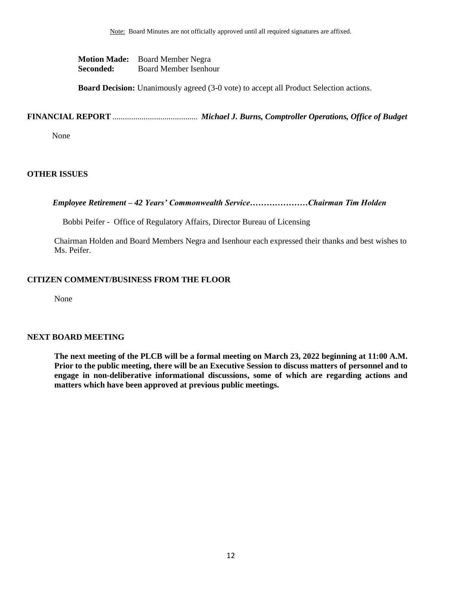**Motion Made:** Board Member Negra **Seconded:** Board Member Isenhour

**Board Decision:** Unanimously agreed (3-0 vote) to accept all Product Selection actions.

**FINANCIAL REPORT** ......................................... *Michael J. Burns, Comptroller Operations, Office of Budget*

None

# <span id="page-11-0"></span>**OTHER ISSUES**

 *Employee Retirement – 42 Years' Commonwealth Service…………………Chairman Tim Holden*

Bobbi Peifer - Office of Regulatory Affairs, Director Bureau of Licensing

Chairman Holden and Board Members Negra and Isenhour each expressed their thanks and best wishes to Ms. Peifer.

## **CITIZEN COMMENT/BUSINESS FROM THE FLOOR**

None

#### **NEXT BOARD MEETING**

**The next meeting of the PLCB will be a formal meeting on March 23, 2022 beginning at 11:00 A.M. Prior to the public meeting, there will be an Executive Session to discuss matters of personnel and to engage in non-deliberative informational discussions, some of which are regarding actions and matters which have been approved at previous public meetings.**